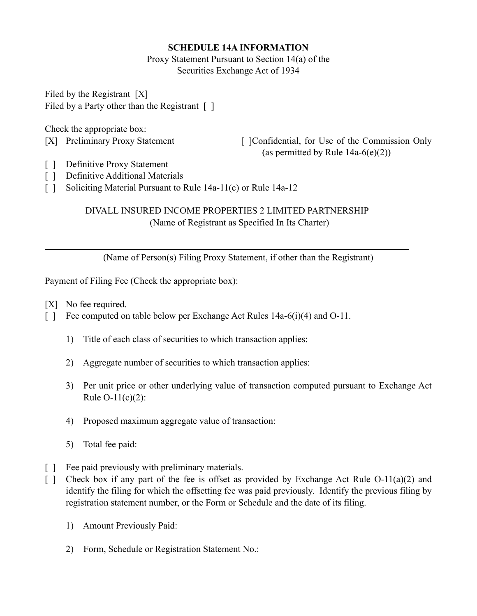# **SCHEDULE 14A INFORMATION**

Proxy Statement Pursuant to Section 14(a) of the Securities Exchange Act of 1934

Filed by the Registrant [X] Filed by a Party other than the Registrant [ ]

Check the appropriate box:

[X] Preliminary Proxy Statement [ ] [ ] [ ] [ Confidential, for Use of the Commission Only (as permitted by Rule  $14a-6(e)(2)$ )

- [ ] Definitive Proxy Statement
- [ ] Definitive Additional Materials
- [ ] Soliciting Material Pursuant to Rule 14a-11(c) or Rule 14a-12

# DIVALL INSURED INCOME PROPERTIES 2 LIMITED PARTNERSHIP (Name of Registrant as Specified In Its Charter)

(Name of Person(s) Filing Proxy Statement, if other than the Registrant)

Payment of Filing Fee (Check the appropriate box):

[X] No fee required.

 $\overline{a}$ 

- [ ] Fee computed on table below per Exchange Act Rules 14a-6(i)(4) and O-11.
	- 1) Title of each class of securities to which transaction applies:
	- 2) Aggregate number of securities to which transaction applies:
	- 3) Per unit price or other underlying value of transaction computed pursuant to Exchange Act Rule O-11(c)(2):
	- 4) Proposed maximum aggregate value of transaction:
	- 5) Total fee paid:
- [ ] Fee paid previously with preliminary materials.
- [ ] Check box if any part of the fee is offset as provided by Exchange Act Rule  $O-11(a)(2)$  and identify the filing for which the offsetting fee was paid previously. Identify the previous filing by registration statement number, or the Form or Schedule and the date of its filing.
	- 1) Amount Previously Paid:
	- 2) Form, Schedule or Registration Statement No.: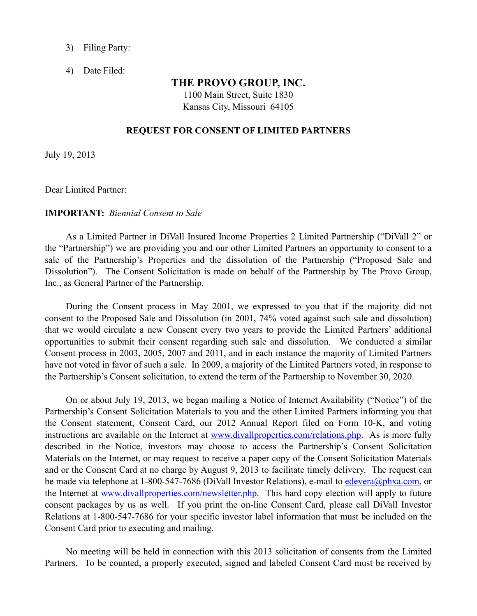- 3) Filing Party:
- 4) Date Filed:

## **THE PROVO GROUP, INC.**

1100 Main Street, Suite 1830 Kansas City, Missouri 64105

#### **REQUEST FOR CONSENT OF LIMITED PARTNERS**

July 19, 2013

Dear Limited Partner:

### **IMPORTANT:** *Biennial Consent to Sale*

As a Limited Partner in DiVall Insured Income Properties 2 Limited Partnership ("DiVall 2" or the "Partnership") we are providing you and our other Limited Partners an opportunity to consent to a sale of the Partnership's Properties and the dissolution of the Partnership ("Proposed Sale and Dissolution"). The Consent Solicitation is made on behalf of the Partnership by The Provo Group, Inc., as General Partner of the Partnership.

During the Consent process in May 2001, we expressed to you that if the majority did not consent to the Proposed Sale and Dissolution (in 2001, 74% voted against such sale and dissolution) that we would circulate a new Consent every two years to provide the Limited Partners' additional opportunities to submit their consent regarding such sale and dissolution. We conducted a similar Consent process in 2003, 2005, 2007 and 2011, and in each instance the majority of Limited Partners have not voted in favor of such a sale. In 2009, a majority of the Limited Partners voted, in response to the Partnership's Consent solicitation, to extend the term of the Partnership to November 30, 2020.

On or about July 19, 2013, we began mailing a Notice of Internet Availability ("Notice") of the Partnership's Consent Solicitation Materials to you and the other Limited Partners informing you that the Consent statement, Consent Card, our 2012 Annual Report filed on Form 10-K, and voting instructions are available on the Internet at [www.divallproperties.com/relations.php.](http://www.divallproperties.com/relations.php) As is more fully described in the Notice, investors may choose to access the Partnership's Consent Solicitation Materials on the Internet, or may request to receive a paper copy of the Consent Solicitation Materials and or the Consent Card at no charge by August 9, 2013 to facilitate timely delivery. The request can be made via telephone at 1-800-547-7686 (DiVall Investor Relations), e-mail to [edevera@phxa.com](mailto:edevera@phxa.com), or the Internet at [www.divallproperties.com/newsletter.php.](http://www.divallproperties.com/newsletter.php) This hard copy election will apply to future consent packages by us as well. If you print the on-line Consent Card, please call DiVall Investor Relations at 1-800-547-7686 for your specific investor label information that must be included on the Consent Card prior to executing and mailing.

No meeting will be held in connection with this 2013 solicitation of consents from the Limited Partners. To be counted, a properly executed, signed and labeled Consent Card must be received by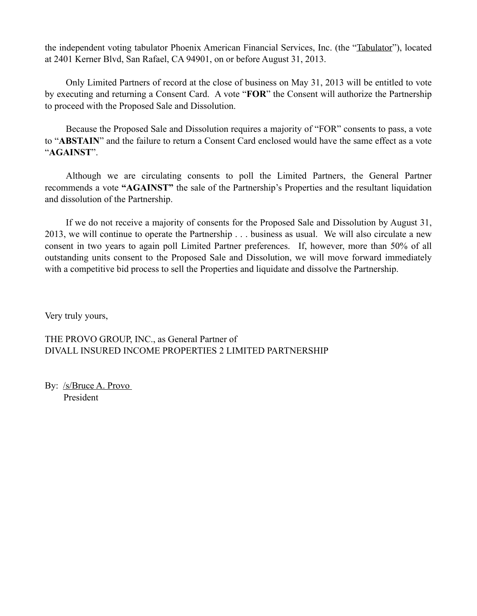the independent voting tabulator Phoenix American Financial Services, Inc. (the "Tabulator"), located at 2401 Kerner Blvd, San Rafael, CA 94901, on or before August 31, 2013.

Only Limited Partners of record at the close of business on May 31, 2013 will be entitled to vote by executing and returning a Consent Card. A vote "**FOR**" the Consent will authorize the Partnership to proceed with the Proposed Sale and Dissolution.

Because the Proposed Sale and Dissolution requires a majority of "FOR" consents to pass, a vote to "**ABSTAIN**" and the failure to return a Consent Card enclosed would have the same effect as a vote "**AGAINST**".

Although we are circulating consents to poll the Limited Partners, the General Partner recommends a vote **"AGAINST"** the sale of the Partnership's Properties and the resultant liquidation and dissolution of the Partnership.

If we do not receive a majority of consents for the Proposed Sale and Dissolution by August 31, 2013, we will continue to operate the Partnership . . . business as usual. We will also circulate a new consent in two years to again poll Limited Partner preferences. If, however, more than 50% of all outstanding units consent to the Proposed Sale and Dissolution, we will move forward immediately with a competitive bid process to sell the Properties and liquidate and dissolve the Partnership.

Very truly yours,

THE PROVO GROUP, INC., as General Partner of DIVALL INSURED INCOME PROPERTIES 2 LIMITED PARTNERSHIP

By: /s/Bruce A. Provo President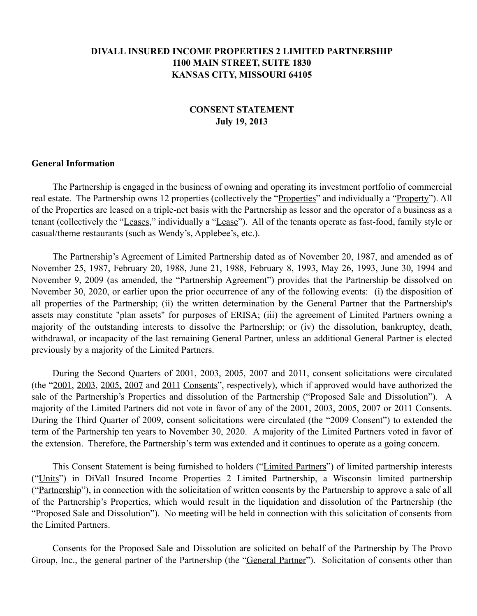# **DIVALL INSURED INCOME PROPERTIES 2 LIMITED PARTNERSHIP 1100 MAIN STREET, SUITE 1830 KANSAS CITY, MISSOURI 64105**

# **CONSENT STATEMENT July 19, 2013**

## **General Information**

The Partnership is engaged in the business of owning and operating its investment portfolio of commercial real estate. The Partnership owns 12 properties (collectively the "Properties" and individually a "Property"). All of the Properties are leased on a triple-net basis with the Partnership as lessor and the operator of a business as a tenant (collectively the "Leases," individually a "Lease"). All of the tenants operate as fast-food, family style or casual/theme restaurants (such as Wendy's, Applebee's, etc.).

The Partnership's Agreement of Limited Partnership dated as of November 20, 1987, and amended as of November 25, 1987, February 20, 1988, June 21, 1988, February 8, 1993, May 26, 1993, June 30, 1994 and November 9, 2009 (as amended, the "Partnership Agreement") provides that the Partnership be dissolved on November 30, 2020, or earlier upon the prior occurrence of any of the following events: (i) the disposition of all properties of the Partnership; (ii) the written determination by the General Partner that the Partnership's assets may constitute "plan assets" for purposes of ERISA; (iii) the agreement of Limited Partners owning a majority of the outstanding interests to dissolve the Partnership; or (iv) the dissolution, bankruptcy, death, withdrawal, or incapacity of the last remaining General Partner, unless an additional General Partner is elected previously by a majority of the Limited Partners.

During the Second Quarters of 2001, 2003, 2005, 2007 and 2011, consent solicitations were circulated (the "2001, 2003, 2005, 2007 and 2011 Consents", respectively), which if approved would have authorized the sale of the Partnership's Properties and dissolution of the Partnership ("Proposed Sale and Dissolution"). A majority of the Limited Partners did not vote in favor of any of the 2001, 2003, 2005, 2007 or 2011 Consents. During the Third Quarter of 2009, consent solicitations were circulated (the "2009 Consent") to extended the term of the Partnership ten years to November 30, 2020. A majority of the Limited Partners voted in favor of the extension. Therefore, the Partnership's term was extended and it continues to operate as a going concern.

 This Consent Statement is being furnished to holders ("Limited Partners") of limited partnership interests ("Units") in DiVall Insured Income Properties 2 Limited Partnership, a Wisconsin limited partnership ("Partnership"), in connection with the solicitation of written consents by the Partnership to approve a sale of all of the Partnership's Properties, which would result in the liquidation and dissolution of the Partnership (the "Proposed Sale and Dissolution"). No meeting will be held in connection with this solicitation of consents from the Limited Partners.

Consents for the Proposed Sale and Dissolution are solicited on behalf of the Partnership by The Provo Group, Inc., the general partner of the Partnership (the "General Partner"). Solicitation of consents other than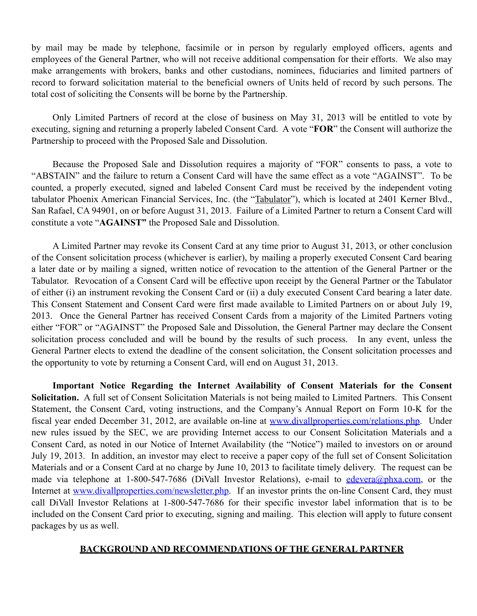by mail may be made by telephone, facsimile or in person by regularly employed officers, agents and employees of the General Partner, who will not receive additional compensation for their efforts. We also may make arrangements with brokers, banks and other custodians, nominees, fiduciaries and limited partners of record to forward solicitation material to the beneficial owners of Units held of record by such persons. The total cost of soliciting the Consents will be borne by the Partnership.

Only Limited Partners of record at the close of business on May 31, 2013 will be entitled to vote by executing, signing and returning a properly labeled Consent Card. A vote "**FOR**" the Consent will authorize the Partnership to proceed with the Proposed Sale and Dissolution.

Because the Proposed Sale and Dissolution requires a majority of "FOR" consents to pass, a vote to "ABSTAIN" and the failure to return a Consent Card will have the same effect as a vote "AGAINST". To be counted, a properly executed, signed and labeled Consent Card must be received by the independent voting tabulator Phoenix American Financial Services, Inc. (the "Tabulator"), which is located at 2401 Kerner Blvd., San Rafael, CA 94901, on or before August 31, 2013.Failure of a Limited Partner to return a Consent Card will constitute a vote "**AGAINST"** the Proposed Sale and Dissolution.

A Limited Partner may revoke its Consent Card at any time prior to August 31, 2013, or other conclusion of the Consent solicitation process (whichever is earlier), by mailing a properly executed Consent Card bearing a later date or by mailing a signed, written notice of revocation to the attention of the General Partner or the Tabulator. Revocation of a Consent Card will be effective upon receipt by the General Partner or the Tabulator of either (i) an instrument revoking the Consent Card or (ii) a duly executed Consent Card bearing a later date. This Consent Statement and Consent Card were first made available to Limited Partners on or about July 19, 2013. Once the General Partner has received Consent Cards from a majority of the Limited Partners voting either "FOR" or "AGAINST" the Proposed Sale and Dissolution, the General Partner may declare the Consent solicitation process concluded and will be bound by the results of such process. In any event, unless the General Partner elects to extend the deadline of the consent solicitation, the Consent solicitation processes and the opportunity to vote by returning a Consent Card, will end on August 31, 2013.

**Important Notice Regarding the Internet Availability of Consent Materials for the Consent Solicitation.** A full set of Consent Solicitation Materials is not being mailed to Limited Partners. This Consent Statement, the Consent Card, voting instructions, and the Company's Annual Report on Form 10-K for the fiscal year ended December 31, 2012, are available on-line at [www.divallproperties.com/relations.php.](http://www.divallproperties.com/relations.php) Under new rules issued by the SEC, we are providing Internet access to our Consent Solicitation Materials and a Consent Card, as noted in our Notice of Internet Availability (the "Notice") mailed to investors on or around July 19, 2013. In addition, an investor may elect to receive a paper copy of the full set of Consent Solicitation Materials and or a Consent Card at no charge by June 10, 2013 to facilitate timely delivery. The request can be made via telephone at 1-800-547-7686 (DiVall Investor Relations), e-mail to [edevera@phxa.com](mailto:edevera@phxa.com), or the Internet at [www.divallproperties.com/newsletter.php.](http://www.divallproperties.com/newsletter.php) If an investor prints the on-line Consent Card, they must call DiVall Investor Relations at 1-800-547-7686 for their specific investor label information that is to be included on the Consent Card prior to executing, signing and mailing. This election will apply to future consent packages by us as well.

# **BACKGROUND AND RECOMMENDATIONS OF THE GENERAL PARTNER**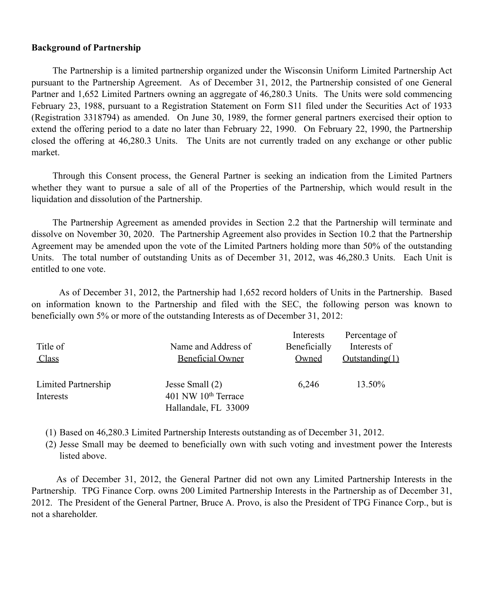## **Background of Partnership**

The Partnership is a limited partnership organized under the Wisconsin Uniform Limited Partnership Act pursuant to the Partnership Agreement. As of December 31, 2012, the Partnership consisted of one General Partner and 1,652 Limited Partners owning an aggregate of 46,280.3 Units. The Units were sold commencing February 23, 1988, pursuant to a Registration Statement on Form S11 filed under the Securities Act of 1933 (Registration 3318794) as amended. On June 30, 1989, the former general partners exercised their option to extend the offering period to a date no later than February 22, 1990. On February 22, 1990, the Partnership closed the offering at 46,280.3 Units. The Units are not currently traded on any exchange or other public market.

Through this Consent process, the General Partner is seeking an indication from the Limited Partners whether they want to pursue a sale of all of the Properties of the Partnership, which would result in the liquidation and dissolution of the Partnership.

The Partnership Agreement as amended provides in Section 2.2 that the Partnership will terminate and dissolve on November 30, 2020. The Partnership Agreement also provides in Section 10.2 that the Partnership Agreement may be amended upon the vote of the Limited Partners holding more than 50% of the outstanding Units. The total number of outstanding Units as of December 31, 2012, was 46,280.3 Units. Each Unit is entitled to one vote.

 As of December 31, 2012, the Partnership had 1,652 record holders of Units in the Partnership. Based on information known to the Partnership and filed with the SEC, the following person was known to beneficially own 5% or more of the outstanding Interests as of December 31, 2012:

| Title of<br><u>Class</u>         | Name and Address of<br><b>Beneficial Owner</b>                             | Interests<br>Beneficially<br>Owned | Percentage of<br>Interests of<br>Outstanding(1) |
|----------------------------------|----------------------------------------------------------------------------|------------------------------------|-------------------------------------------------|
| Limited Partnership<br>Interests | Jesse Small (2)<br>401 NW 10 <sup>th</sup> Terrace<br>Hallandale, FL 33009 | 6,246                              | 13.50%                                          |

(1) Based on 46,280.3 Limited Partnership Interests outstanding as of December 31, 2012.

(2) Jesse Small may be deemed to beneficially own with such voting and investment power the Interests listed above.

 As of December 31, 2012, the General Partner did not own any Limited Partnership Interests in the Partnership. TPG Finance Corp. owns 200 Limited Partnership Interests in the Partnership as of December 31, 2012. The President of the General Partner, Bruce A. Provo, is also the President of TPG Finance Corp., but is not a shareholder.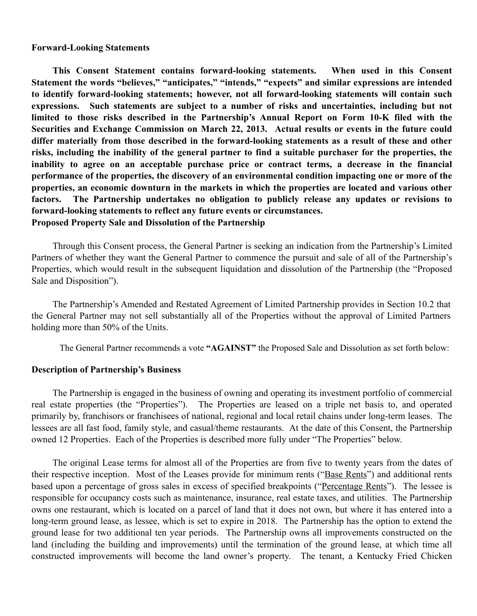#### **Forward-Looking Statements**

**This Consent Statement contains forward-looking statements. When used in this Consent Statement the words "believes," "anticipates," "intends," "expects" and similar expressions are intended to identify forward-looking statements; however, not all forward-looking statements will contain such expressions. Such statements are subject to a number of risks and uncertainties, including but not limited to those risks described in the Partnership's Annual Report on Form 10-K filed with the Securities and Exchange Commission on March 22, 2013. Actual results or events in the future could differ materially from those described in the forward-looking statements as a result of these and other risks, including the inability of the general partner to find a suitable purchaser for the properties, the inability to agree on an acceptable purchase price or contract terms, a decrease in the financial performance of the properties, the discovery of an environmental condition impacting one or more of the properties, an economic downturn in the markets in which the properties are located and various other factors. The Partnership undertakes no obligation to publicly release any updates or revisions to forward-looking statements to reflect any future events or circumstances. Proposed Property Sale and Dissolution of the Partnership**

Through this Consent process, the General Partner is seeking an indication from the Partnership's Limited Partners of whether they want the General Partner to commence the pursuit and sale of all of the Partnership's Properties, which would result in the subsequent liquidation and dissolution of the Partnership (the "Proposed Sale and Disposition").

The Partnership's Amended and Restated Agreement of Limited Partnership provides in Section 10.2 that the General Partner may not sell substantially all of the Properties without the approval of Limited Partners holding more than 50% of the Units.

The General Partner recommends a vote **"AGAINST"** the Proposed Sale and Dissolution as set forth below:

## **Description of Partnership's Business**

The Partnership is engaged in the business of owning and operating its investment portfolio of commercial real estate properties (the "Properties"). The Properties are leased on a triple net basis to, and operated primarily by, franchisors or franchisees of national, regional and local retail chains under long-term leases. The lessees are all fast food, family style, and casual/theme restaurants. At the date of this Consent, the Partnership owned 12 Properties. Each of the Properties is described more fully under "The Properties" below.

The original Lease terms for almost all of the Properties are from five to twenty years from the dates of their respective inception. Most of the Leases provide for minimum rents ("Base Rents") and additional rents based upon a percentage of gross sales in excess of specified breakpoints ("Percentage Rents"). The lessee is responsible for occupancy costs such as maintenance, insurance, real estate taxes, and utilities. The Partnership owns one restaurant, which is located on a parcel of land that it does not own, but where it has entered into a long-term ground lease, as lessee, which is set to expire in 2018. The Partnership has the option to extend the ground lease for two additional ten year periods. The Partnership owns all improvements constructed on the land (including the building and improvements) until the termination of the ground lease, at which time all constructed improvements will become the land owner's property. The tenant, a Kentucky Fried Chicken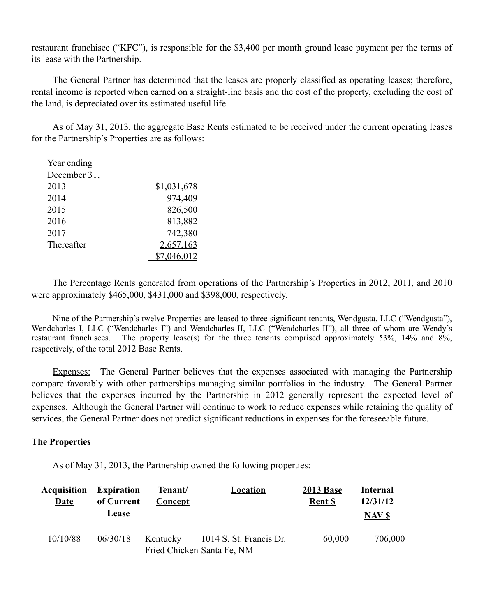restaurant franchisee ("KFC"), is responsible for the \$3,400 per month ground lease payment per the terms of its lease with the Partnership.

The General Partner has determined that the leases are properly classified as operating leases; therefore, rental income is reported when earned on a straight-line basis and the cost of the property, excluding the cost of the land, is depreciated over its estimated useful life.

As of May 31, 2013, the aggregate Base Rents estimated to be received under the current operating leases for the Partnership's Properties are as follows:

| Year ending  |             |
|--------------|-------------|
| December 31, |             |
| 2013         | \$1,031,678 |
| 2014         | 974,409     |
| 2015         | 826,500     |
| 2016         | 813,882     |
| 2017         | 742,380     |
| Thereafter   | 2,657,163   |
|              |             |

 The Percentage Rents generated from operations of the Partnership's Properties in 2012, 2011, and 2010 were approximately \$465,000, \$431,000 and \$398,000, respectively.

Nine of the Partnership's twelve Properties are leased to three significant tenants, Wendgusta, LLC ("Wendgusta"), Wendcharles I, LLC ("Wendcharles I") and Wendcharles II, LLC ("Wendcharles II"), all three of whom are Wendy's restaurant franchisees. The property lease(s) for the three tenants comprised approximately 53%, 14% and 8%, respectively, of the total 2012 Base Rents.

Expenses: The General Partner believes that the expenses associated with managing the Partnership compare favorably with other partnerships managing similar portfolios in the industry. The General Partner believes that the expenses incurred by the Partnership in 2012 generally represent the expected level of expenses. Although the General Partner will continue to work to reduce expenses while retaining the quality of services, the General Partner does not predict significant reductions in expenses for the foreseeable future.

# **The Properties**

As of May 31, 2013, the Partnership owned the following properties:

| <b>Acquisition</b><br><b>Date</b> | <b>Expiration</b><br>of Current<br><b>Lease</b> | Tenant/<br><b>Concept</b> | <b>Location</b>                                       | <b>2013 Base</b><br><b>Rent S</b> | <b>Internal</b><br>12/31/12 |
|-----------------------------------|-------------------------------------------------|---------------------------|-------------------------------------------------------|-----------------------------------|-----------------------------|
| 10/10/88                          | 06/30/18                                        | Kentucky                  | 1014 S. St. Francis Dr.<br>Fried Chicken Santa Fe, NM | 60,000                            | <b>NAV \$</b><br>706,000    |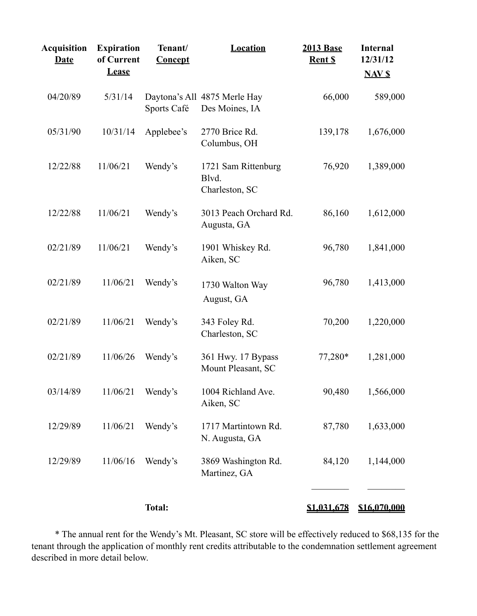| <b>Acquisition</b><br><b>Date</b> | <b>Expiration</b><br>of Current<br><b>Lease</b> | Tenant/<br>Concept | <b>Location</b>                                | <b>2013 Base</b><br>Rent \$ | <b>Internal</b><br>12/31/12<br><b>NAV \$</b> |
|-----------------------------------|-------------------------------------------------|--------------------|------------------------------------------------|-----------------------------|----------------------------------------------|
| 04/20/89                          | 5/31/14                                         | Sports Café        | Daytona's All 4875 Merle Hay<br>Des Moines, IA | 66,000                      | 589,000                                      |
| 05/31/90                          | 10/31/14                                        | Applebee's         | 2770 Brice Rd.<br>Columbus, OH                 | 139,178                     | 1,676,000                                    |
| 12/22/88                          | 11/06/21                                        | Wendy's            | 1721 Sam Rittenburg<br>Blvd.<br>Charleston, SC | 76,920                      | 1,389,000                                    |
| 12/22/88                          | 11/06/21                                        | Wendy's            | 3013 Peach Orchard Rd.<br>Augusta, GA          | 86,160                      | 1,612,000                                    |
| 02/21/89                          | 11/06/21                                        | Wendy's            | 1901 Whiskey Rd.<br>Aiken, SC                  | 96,780                      | 1,841,000                                    |
| 02/21/89                          | 11/06/21                                        | Wendy's            | 1730 Walton Way<br>August, GA                  | 96,780                      | 1,413,000                                    |
| 02/21/89                          | 11/06/21                                        | Wendy's            | 343 Foley Rd.<br>Charleston, SC                | 70,200                      | 1,220,000                                    |
| 02/21/89                          | 11/06/26                                        | Wendy's            | 361 Hwy. 17 Bypass<br>Mount Pleasant, SC       | 77,280*                     | 1,281,000                                    |
| 03/14/89                          | 11/06/21                                        | Wendy's            | 1004 Richland Ave.<br>Aiken, SC                | 90,480                      | 1,566,000                                    |
| 12/29/89                          | 11/06/21                                        | Wendy's            | 1717 Martintown Rd.<br>N. Augusta, GA          | 87,780                      | 1,633,000                                    |
| 12/29/89                          | 11/06/16                                        | Wendy's            | 3869 Washington Rd.<br>Martinez, GA            | 84,120                      | 1,144,000                                    |
|                                   |                                                 | <b>Total:</b>      |                                                | \$1,031,678                 | <u>\$16,070,000</u>                          |

 \* The annual rent for the Wendy's Mt. Pleasant, SC store will be effectively reduced to \$68,135 for the tenant through the application of monthly rent credits attributable to the condemnation settlement agreement described in more detail below.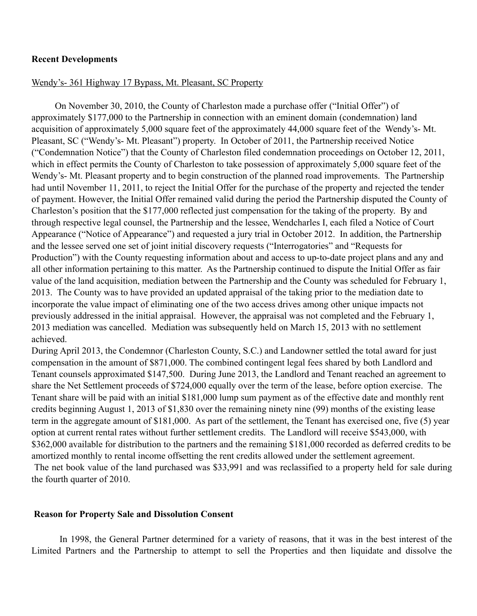## **Recent Developments**

#### Wendy's- 361 Highway 17 Bypass, Mt. Pleasant, SC Property

 On November 30, 2010, the County of Charleston made a purchase offer ("Initial Offer") of approximately \$177,000 to the Partnership in connection with an eminent domain (condemnation) land acquisition of approximately 5,000 square feet of the approximately 44,000 square feet of the Wendy's- Mt. Pleasant, SC ("Wendy's- Mt. Pleasant") property. In October of 2011, the Partnership received Notice ("Condemnation Notice") that the County of Charleston filed condemnation proceedings on October 12, 2011, which in effect permits the County of Charleston to take possession of approximately 5,000 square feet of the Wendy's- Mt. Pleasant property and to begin construction of the planned road improvements. The Partnership had until November 11, 2011, to reject the Initial Offer for the purchase of the property and rejected the tender of payment. However, the Initial Offer remained valid during the period the Partnership disputed the County of Charleston's position that the \$177,000 reflected just compensation for the taking of the property. By and through respective legal counsel, the Partnership and the lessee, Wendcharles I, each filed a Notice of Court Appearance ("Notice of Appearance") and requested a jury trial in October 2012. In addition, the Partnership and the lessee served one set of joint initial discovery requests ("Interrogatories" and "Requests for Production") with the County requesting information about and access to up-to-date project plans and any and all other information pertaining to this matter. As the Partnership continued to dispute the Initial Offer as fair value of the land acquisition, mediation between the Partnership and the County was scheduled for February 1, 2013. The County was to have provided an updated appraisal of the taking prior to the mediation date to incorporate the value impact of eliminating one of the two access drives among other unique impacts not previously addressed in the initial appraisal. However, the appraisal was not completed and the February 1, 2013 mediation was cancelled. Mediation was subsequently held on March 15, 2013 with no settlement achieved.

During April 2013, the Condemnor (Charleston County, S.C.) and Landowner settled the total award for just compensation in the amount of \$871,000. The combined contingent legal fees shared by both Landlord and Tenant counsels approximated \$147,500. During June 2013, the Landlord and Tenant reached an agreement to share the Net Settlement proceeds of \$724,000 equally over the term of the lease, before option exercise. The Tenant share will be paid with an initial \$181,000 lump sum payment as of the effective date and monthly rent credits beginning August 1, 2013 of \$1,830 over the remaining ninety nine (99) months of the existing lease term in the aggregate amount of \$181,000. As part of the settlement, the Tenant has exercised one, five (5) year option at current rental rates without further settlement credits. The Landlord will receive \$543,000, with \$362,000 available for distribution to the partners and the remaining \$181,000 recorded as deferred credits to be amortized monthly to rental income offsetting the rent credits allowed under the settlement agreement. The net book value of the land purchased was \$33,991 and was reclassified to a property held for sale during the fourth quarter of 2010.

# **Reason for Property Sale and Dissolution Consent**

 In 1998, the General Partner determined for a variety of reasons, that it was in the best interest of the Limited Partners and the Partnership to attempt to sell the Properties and then liquidate and dissolve the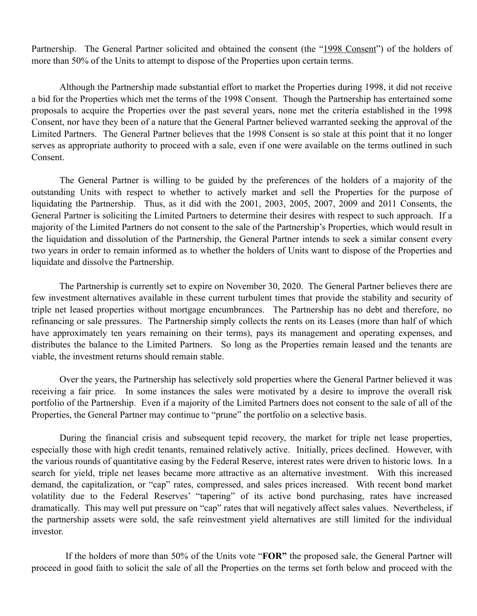Partnership. The General Partner solicited and obtained the consent (the "1998 Consent") of the holders of more than 50% of the Units to attempt to dispose of the Properties upon certain terms.

Although the Partnership made substantial effort to market the Properties during 1998, it did not receive a bid for the Properties which met the terms of the 1998 Consent. Though the Partnership has entertained some proposals to acquire the Properties over the past several years, none met the criteria established in the 1998 Consent, nor have they been of a nature that the General Partner believed warranted seeking the approval of the Limited Partners. The General Partner believes that the 1998 Consent is so stale at this point that it no longer serves as appropriate authority to proceed with a sale, even if one were available on the terms outlined in such Consent.

The General Partner is willing to be guided by the preferences of the holders of a majority of the outstanding Units with respect to whether to actively market and sell the Properties for the purpose of liquidating the Partnership. Thus, as it did with the 2001, 2003, 2005, 2007, 2009 and 2011 Consents, the General Partner is soliciting the Limited Partners to determine their desires with respect to such approach. If a majority of the Limited Partners do not consent to the sale of the Partnership's Properties, which would result in the liquidation and dissolution of the Partnership, the General Partner intends to seek a similar consent every two years in order to remain informed as to whether the holders of Units want to dispose of the Properties and liquidate and dissolve the Partnership.

 The Partnership is currently set to expire on November 30, 2020. The General Partner believes there are few investment alternatives available in these current turbulent times that provide the stability and security of triple net leased properties without mortgage encumbrances. The Partnership has no debt and therefore, no refinancing or sale pressures. The Partnership simply collects the rents on its Leases (more than half of which have approximately ten years remaining on their terms), pays its management and operating expenses, and distributes the balance to the Limited Partners. So long as the Properties remain leased and the tenants are viable, the investment returns should remain stable.

 Over the years, the Partnership has selectively sold properties where the General Partner believed it was receiving a fair price. In some instances the sales were motivated by a desire to improve the overall risk portfolio of the Partnership. Even if a majority of the Limited Partners does not consent to the sale of all of the Properties, the General Partner may continue to "prune" the portfolio on a selective basis.

 During the financial crisis and subsequent tepid recovery, the market for triple net lease properties, especially those with high credit tenants, remained relatively active. Initially, prices declined. However, with the various rounds of quantitative easing by the Federal Reserve, interest rates were driven to historic lows. In a search for yield, triple net leases became more attractive as an alternative investment. With this increased demand, the capitalization, or "cap" rates, compressed, and sales prices increased. With recent bond market volatility due to the Federal Reserves' "tapering" of its active bond purchasing, rates have increased dramatically. This may well put pressure on "cap" rates that will negatively affect sales values. Nevertheless, if the partnership assets were sold, the safe reinvestment yield alternatives are still limited for the individual investor.

 If the holders of more than 50% of the Units vote "**FOR"** the proposed sale, the General Partner will proceed in good faith to solicit the sale of all the Properties on the terms set forth below and proceed with the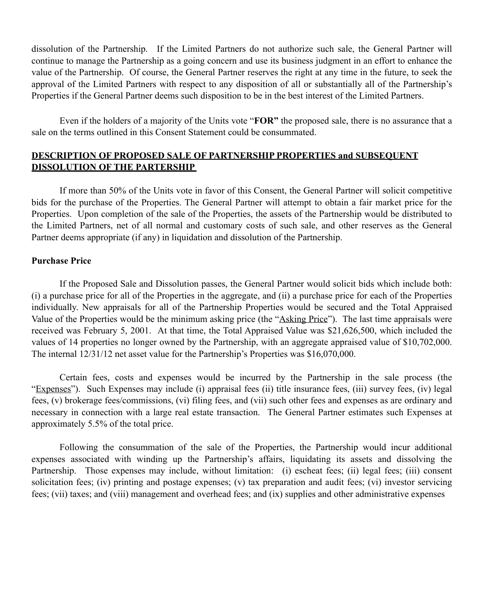dissolution of the Partnership. If the Limited Partners do not authorize such sale, the General Partner will continue to manage the Partnership as a going concern and use its business judgment in an effort to enhance the value of the Partnership. Of course, the General Partner reserves the right at any time in the future, to seek the approval of the Limited Partners with respect to any disposition of all or substantially all of the Partnership's Properties if the General Partner deems such disposition to be in the best interest of the Limited Partners.

 Even if the holders of a majority of the Units vote "**FOR"** the proposed sale, there is no assurance that a sale on the terms outlined in this Consent Statement could be consummated.

# **DESCRIPTION OF PROPOSED SALE OF PARTNERSHIP PROPERTIES and SUBSEQUENT DISSOLUTION OF THE PARTERSHIP**

 If more than 50% of the Units vote in favor of this Consent, the General Partner will solicit competitive bids for the purchase of the Properties. The General Partner will attempt to obtain a fair market price for the Properties. Upon completion of the sale of the Properties, the assets of the Partnership would be distributed to the Limited Partners, net of all normal and customary costs of such sale, and other reserves as the General Partner deems appropriate (if any) in liquidation and dissolution of the Partnership.

# **Purchase Price**

If the Proposed Sale and Dissolution passes, the General Partner would solicit bids which include both: (i) a purchase price for all of the Properties in the aggregate, and (ii) a purchase price for each of the Properties individually. New appraisals for all of the Partnership Properties would be secured and the Total Appraised Value of the Properties would be the minimum asking price (the "Asking Price"). The last time appraisals were received was February 5, 2001. At that time, the Total Appraised Value was \$21,626,500, which included the values of 14 properties no longer owned by the Partnership, with an aggregate appraised value of \$10,702,000. The internal 12/31/12 net asset value for the Partnership's Properties was \$16,070,000.

Certain fees, costs and expenses would be incurred by the Partnership in the sale process (the "Expenses"). Such Expenses may include (i) appraisal fees (ii) title insurance fees, (iii) survey fees, (iv) legal fees, (v) brokerage fees/commissions, (vi) filing fees, and (vii) such other fees and expenses as are ordinary and necessary in connection with a large real estate transaction. The General Partner estimates such Expenses at approximately 5.5% of the total price.

Following the consummation of the sale of the Properties, the Partnership would incur additional expenses associated with winding up the Partnership's affairs, liquidating its assets and dissolving the Partnership. Those expenses may include, without limitation: (i) escheat fees; (ii) legal fees; (iii) consent solicitation fees; (iv) printing and postage expenses; (v) tax preparation and audit fees; (vi) investor servicing fees; (vii) taxes; and (viii) management and overhead fees; and (ix) supplies and other administrative expenses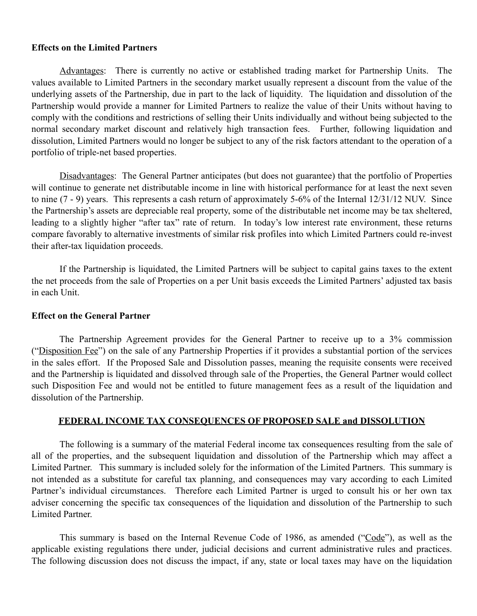# **Effects on the Limited Partners**

Advantages: There is currently no active or established trading market for Partnership Units. The values available to Limited Partners in the secondary market usually represent a discount from the value of the underlying assets of the Partnership, due in part to the lack of liquidity. The liquidation and dissolution of the Partnership would provide a manner for Limited Partners to realize the value of their Units without having to comply with the conditions and restrictions of selling their Units individually and without being subjected to the normal secondary market discount and relatively high transaction fees. Further, following liquidation and dissolution, Limited Partners would no longer be subject to any of the risk factors attendant to the operation of a portfolio of triple-net based properties.

Disadvantages: The General Partner anticipates (but does not guarantee) that the portfolio of Properties will continue to generate net distributable income in line with historical performance for at least the next seven to nine (7 - 9) years. This represents a cash return of approximately 5-6% of the Internal 12/31/12 NUV. Since the Partnership's assets are depreciable real property, some of the distributable net income may be tax sheltered, leading to a slightly higher "after tax" rate of return. In today's low interest rate environment, these returns compare favorably to alternative investments of similar risk profiles into which Limited Partners could re-invest their after-tax liquidation proceeds.

If the Partnership is liquidated, the Limited Partners will be subject to capital gains taxes to the extent the net proceeds from the sale of Properties on a per Unit basis exceeds the Limited Partners' adjusted tax basis in each Unit.

#### **Effect on the General Partner**

 The Partnership Agreement provides for the General Partner to receive up to a 3% commission ("Disposition Fee") on the sale of any Partnership Properties if it provides a substantial portion of the services in the sales effort. If the Proposed Sale and Dissolution passes, meaning the requisite consents were received and the Partnership is liquidated and dissolved through sale of the Properties, the General Partner would collect such Disposition Fee and would not be entitled to future management fees as a result of the liquidation and dissolution of the Partnership.

# **FEDERAL INCOME TAX CONSEQUENCES OF PROPOSED SALE and DISSOLUTION**

The following is a summary of the material Federal income tax consequences resulting from the sale of all of the properties, and the subsequent liquidation and dissolution of the Partnership which may affect a Limited Partner. This summary is included solely for the information of the Limited Partners. This summary is not intended as a substitute for careful tax planning, and consequences may vary according to each Limited Partner's individual circumstances. Therefore each Limited Partner is urged to consult his or her own tax adviser concerning the specific tax consequences of the liquidation and dissolution of the Partnership to such Limited Partner.

This summary is based on the Internal Revenue Code of 1986, as amended ("Code"), as well as the applicable existing regulations there under, judicial decisions and current administrative rules and practices. The following discussion does not discuss the impact, if any, state or local taxes may have on the liquidation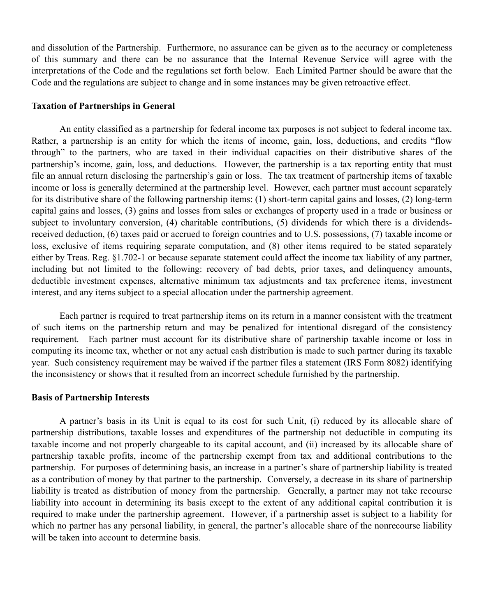and dissolution of the Partnership. Furthermore, no assurance can be given as to the accuracy or completeness of this summary and there can be no assurance that the Internal Revenue Service will agree with the interpretations of the Code and the regulations set forth below. Each Limited Partner should be aware that the Code and the regulations are subject to change and in some instances may be given retroactive effect.

#### **Taxation of Partnerships in General**

An entity classified as a partnership for federal income tax purposes is not subject to federal income tax. Rather, a partnership is an entity for which the items of income, gain, loss, deductions, and credits "flow through" to the partners, who are taxed in their individual capacities on their distributive shares of the partnership's income, gain, loss, and deductions. However, the partnership is a tax reporting entity that must file an annual return disclosing the partnership's gain or loss. The tax treatment of partnership items of taxable income or loss is generally determined at the partnership level. However, each partner must account separately for its distributive share of the following partnership items: (1) short-term capital gains and losses, (2) long-term capital gains and losses, (3) gains and losses from sales or exchanges of property used in a trade or business or subject to involuntary conversion, (4) charitable contributions, (5) dividends for which there is a dividendsreceived deduction, (6) taxes paid or accrued to foreign countries and to U.S. possessions, (7) taxable income or loss, exclusive of items requiring separate computation, and (8) other items required to be stated separately either by Treas. Reg. §1.702-1 or because separate statement could affect the income tax liability of any partner, including but not limited to the following: recovery of bad debts, prior taxes, and delinquency amounts, deductible investment expenses, alternative minimum tax adjustments and tax preference items, investment interest, and any items subject to a special allocation under the partnership agreement.

Each partner is required to treat partnership items on its return in a manner consistent with the treatment of such items on the partnership return and may be penalized for intentional disregard of the consistency requirement. Each partner must account for its distributive share of partnership taxable income or loss in computing its income tax, whether or not any actual cash distribution is made to such partner during its taxable year. Such consistency requirement may be waived if the partner files a statement (IRS Form 8082) identifying the inconsistency or shows that it resulted from an incorrect schedule furnished by the partnership.

# **Basis of Partnership Interests**

A partner's basis in its Unit is equal to its cost for such Unit, (i) reduced by its allocable share of partnership distributions, taxable losses and expenditures of the partnership not deductible in computing its taxable income and not properly chargeable to its capital account, and (ii) increased by its allocable share of partnership taxable profits, income of the partnership exempt from tax and additional contributions to the partnership. For purposes of determining basis, an increase in a partner's share of partnership liability is treated as a contribution of money by that partner to the partnership. Conversely, a decrease in its share of partnership liability is treated as distribution of money from the partnership. Generally, a partner may not take recourse liability into account in determining its basis except to the extent of any additional capital contribution it is required to make under the partnership agreement. However, if a partnership asset is subject to a liability for which no partner has any personal liability, in general, the partner's allocable share of the nonrecourse liability will be taken into account to determine basis.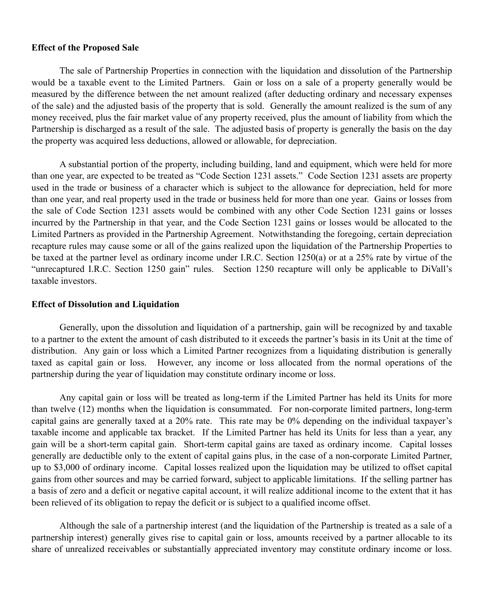#### **Effect of the Proposed Sale**

The sale of Partnership Properties in connection with the liquidation and dissolution of the Partnership would be a taxable event to the Limited Partners. Gain or loss on a sale of a property generally would be measured by the difference between the net amount realized (after deducting ordinary and necessary expenses of the sale) and the adjusted basis of the property that is sold. Generally the amount realized is the sum of any money received, plus the fair market value of any property received, plus the amount of liability from which the Partnership is discharged as a result of the sale. The adjusted basis of property is generally the basis on the day the property was acquired less deductions, allowed or allowable, for depreciation.

A substantial portion of the property, including building, land and equipment, which were held for more than one year, are expected to be treated as "Code Section 1231 assets." Code Section 1231 assets are property used in the trade or business of a character which is subject to the allowance for depreciation, held for more than one year, and real property used in the trade or business held for more than one year. Gains or losses from the sale of Code Section 1231 assets would be combined with any other Code Section 1231 gains or losses incurred by the Partnership in that year, and the Code Section 1231 gains or losses would be allocated to the Limited Partners as provided in the Partnership Agreement. Notwithstanding the foregoing, certain depreciation recapture rules may cause some or all of the gains realized upon the liquidation of the Partnership Properties to be taxed at the partner level as ordinary income under I.R.C. Section 1250(a) or at a 25% rate by virtue of the "unrecaptured I.R.C. Section 1250 gain" rules. Section 1250 recapture will only be applicable to DiVall's taxable investors.

## **Effect of Dissolution and Liquidation**

Generally, upon the dissolution and liquidation of a partnership, gain will be recognized by and taxable to a partner to the extent the amount of cash distributed to it exceeds the partner's basis in its Unit at the time of distribution. Any gain or loss which a Limited Partner recognizes from a liquidating distribution is generally taxed as capital gain or loss. However, any income or loss allocated from the normal operations of the partnership during the year of liquidation may constitute ordinary income or loss.

Any capital gain or loss will be treated as long-term if the Limited Partner has held its Units for more than twelve (12) months when the liquidation is consummated. For non-corporate limited partners, long-term capital gains are generally taxed at a 20% rate. This rate may be 0% depending on the individual taxpayer's taxable income and applicable tax bracket. If the Limited Partner has held its Units for less than a year, any gain will be a short-term capital gain. Short-term capital gains are taxed as ordinary income. Capital losses generally are deductible only to the extent of capital gains plus, in the case of a non-corporate Limited Partner, up to \$3,000 of ordinary income. Capital losses realized upon the liquidation may be utilized to offset capital gains from other sources and may be carried forward, subject to applicable limitations. If the selling partner has a basis of zero and a deficit or negative capital account, it will realize additional income to the extent that it has been relieved of its obligation to repay the deficit or is subject to a qualified income offset.

Although the sale of a partnership interest (and the liquidation of the Partnership is treated as a sale of a partnership interest) generally gives rise to capital gain or loss, amounts received by a partner allocable to its share of unrealized receivables or substantially appreciated inventory may constitute ordinary income or loss.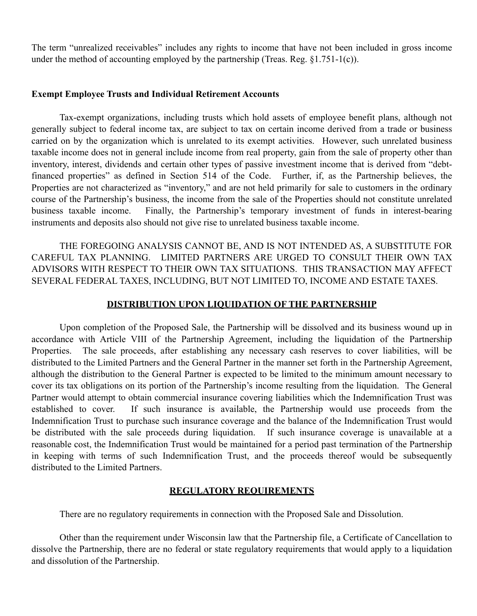The term "unrealized receivables" includes any rights to income that have not been included in gross income under the method of accounting employed by the partnership (Treas. Reg. §1.751-1(c)).

## **Exempt Employee Trusts and Individual Retirement Accounts**

Tax-exempt organizations, including trusts which hold assets of employee benefit plans, although not generally subject to federal income tax, are subject to tax on certain income derived from a trade or business carried on by the organization which is unrelated to its exempt activities. However, such unrelated business taxable income does not in general include income from real property, gain from the sale of property other than inventory, interest, dividends and certain other types of passive investment income that is derived from "debtfinanced properties" as defined in Section 514 of the Code. Further, if, as the Partnership believes, the Properties are not characterized as "inventory," and are not held primarily for sale to customers in the ordinary course of the Partnership's business, the income from the sale of the Properties should not constitute unrelated business taxable income. Finally, the Partnership's temporary investment of funds in interest-bearing instruments and deposits also should not give rise to unrelated business taxable income.

THE FOREGOING ANALYSIS CANNOT BE, AND IS NOT INTENDED AS, A SUBSTITUTE FOR CAREFUL TAX PLANNING. LIMITED PARTNERS ARE URGED TO CONSULT THEIR OWN TAX ADVISORS WITH RESPECT TO THEIR OWN TAX SITUATIONS. THIS TRANSACTION MAY AFFECT SEVERAL FEDERAL TAXES, INCLUDING, BUT NOT LIMITED TO, INCOME AND ESTATE TAXES.

# **DISTRIBUTION UPON LIQUIDATION OF THE PARTNERSHIP**

Upon completion of the Proposed Sale, the Partnership will be dissolved and its business wound up in accordance with Article VIII of the Partnership Agreement, including the liquidation of the Partnership Properties. The sale proceeds, after establishing any necessary cash reserves to cover liabilities, will be distributed to the Limited Partners and the General Partner in the manner set forth in the Partnership Agreement, although the distribution to the General Partner is expected to be limited to the minimum amount necessary to cover its tax obligations on its portion of the Partnership's income resulting from the liquidation. The General Partner would attempt to obtain commercial insurance covering liabilities which the Indemnification Trust was established to cover. If such insurance is available, the Partnership would use proceeds from the Indemnification Trust to purchase such insurance coverage and the balance of the Indemnification Trust would be distributed with the sale proceeds during liquidation. If such insurance coverage is unavailable at a reasonable cost, the Indemnification Trust would be maintained for a period past termination of the Partnership in keeping with terms of such Indemnification Trust, and the proceeds thereof would be subsequently distributed to the Limited Partners.

# **REGULATORY REQUIREMENTS**

There are no regulatory requirements in connection with the Proposed Sale and Dissolution.

Other than the requirement under Wisconsin law that the Partnership file, a Certificate of Cancellation to dissolve the Partnership, there are no federal or state regulatory requirements that would apply to a liquidation and dissolution of the Partnership.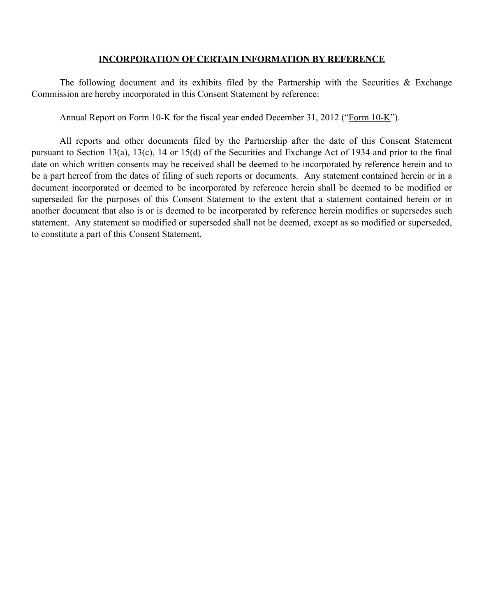# **INCORPORATION OF CERTAIN INFORMATION BY REFERENCE**

The following document and its exhibits filed by the Partnership with the Securities  $\&$  Exchange Commission are hereby incorporated in this Consent Statement by reference:

Annual Report on Form 10-K for the fiscal year ended December 31, 2012 ("Form 10-K").

All reports and other documents filed by the Partnership after the date of this Consent Statement pursuant to Section 13(a), 13(c), 14 or 15(d) of the Securities and Exchange Act of 1934 and prior to the final date on which written consents may be received shall be deemed to be incorporated by reference herein and to be a part hereof from the dates of filing of such reports or documents. Any statement contained herein or in a document incorporated or deemed to be incorporated by reference herein shall be deemed to be modified or superseded for the purposes of this Consent Statement to the extent that a statement contained herein or in another document that also is or is deemed to be incorporated by reference herein modifies or supersedes such statement. Any statement so modified or superseded shall not be deemed, except as so modified or superseded, to constitute a part of this Consent Statement.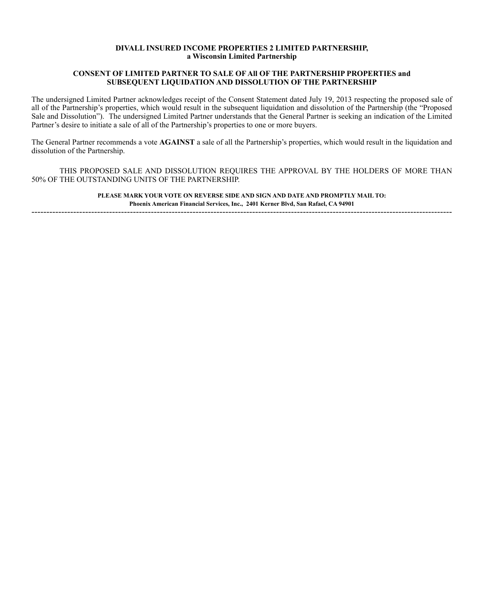#### **DIVALL INSURED INCOME PROPERTIES 2 LIMITED PARTNERSHIP, a Wisconsin Limited Partnership**

#### **CONSENT OF LIMITED PARTNER TO SALE OF All OF THE PARTNERSHIP PROPERTIES and SUBSEQUENT LIQUIDATION AND DISSOLUTION OF THE PARTNERSHIP**

The undersigned Limited Partner acknowledges receipt of the Consent Statement dated July 19, 2013 respecting the proposed sale of all of the Partnership's properties, which would result in the subsequent liquidation and dissolution of the Partnership (the "Proposed Sale and Dissolution"). The undersigned Limited Partner understands that the General Partner is seeking an indication of the Limited Partner's desire to initiate a sale of all of the Partnership's properties to one or more buyers.

The General Partner recommends a vote **AGAINST** a sale of all the Partnership's properties, which would result in the liquidation and dissolution of the Partnership.

THIS PROPOSED SALE AND DISSOLUTION REQUIRES THE APPROVAL BY THE HOLDERS OF MORE THAN 50% OF THE OUTSTANDING UNITS OF THE PARTNERSHIP.

> **PLEASE MARK YOUR VOTE ON REVERSE SIDE AND SIGN AND DATE AND PROMPTLY MAIL TO: Phoenix American Financial Services, Inc., 2401 Kerner Blvd, San Rafael, CA 94901**

---------------------------------------------------------------------------------------------------------------------------------------------